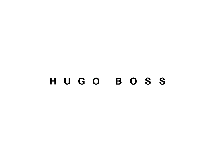# HUGO BOSS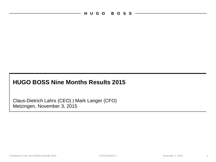## **HUGO BOSS Nine Months Results 2015**

Metzingen, November 3, 2015 Claus-Dietrich Lahrs (CEO) | Mark Langer (CFO)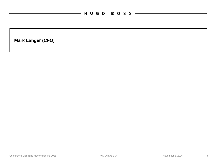$\overline{\phantom{0}}$ 

**Mark Langer (CFO)**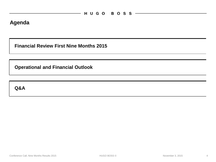#### **Agenda**

**Financial Review First Nine Months 2015**

**Operational and Financial Outlook**

**Q&A**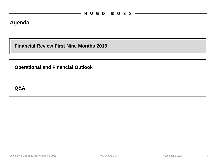#### **Agenda**

**Financial Review First Nine Months 2015**

**Operational and Financial Outlook**

**Q&A**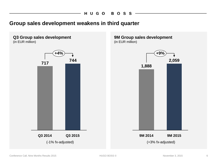#### **Group sales development weakens in third quarter**

#### **Q3 Group sales development** (in EUR million)



**9M Group sales development** (in EUR million)

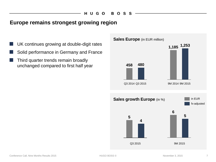#### **Europe remains strongest growing region**

- UK continues growing at double-digit rates
- Solid performance in Germany and France
- Third quarter trends remain broadly unchanged compared to first half year

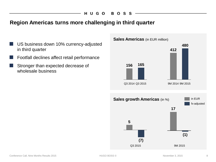#### **Region Americas turns more challenging in third quarter**

- US business down 10% currency-adjusted in third quarter
- Footfall declines affect retail performance
- Stronger than expected decrease of wholesale business

#### **Sales Americas** (in EUR million)

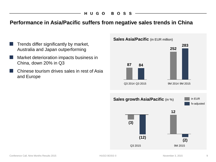#### **Performance in Asia/Pacific suffers from negative sales trends in China**

- Trends differ significantly by market, Australia and Japan outperforming
- Market deterioration impacts business in China, down 20% in Q3
- Chinese tourism drives sales in rest of Asia and Europe

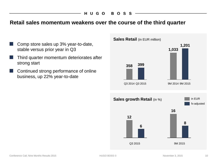#### **Retail sales momentum weakens over the course of the third quarter**

- Comp store sales up 3% year-to-date, stable versus prior year in Q3
- Third quarter momentum deteriorates after strong start
- Continued strong performance of online business, up 22% year-to-date

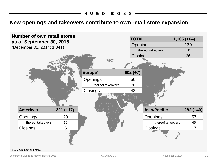#### **New openings and takeovers contribute to own retail store expansion**

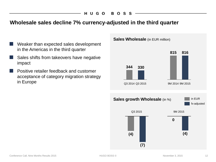#### HUGO BOSS

#### **Wholesale sales decline 7% currency-adjusted in the third quarter**

- Weaker than expected sales development in the Americas in the third quarter
- Sales shifts from takeovers have negative impact
- Positive retailer feedback and customer acceptance of category migration strategy in Europe

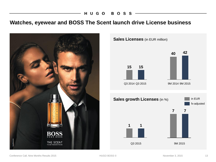#### HUGO BOSS

### **Watches, eyewear and BOSS The Scent launch drive License business**



in EUR fx-adjusted **Sales growth Licenses** (in %) **Sales Licenses** (in EUR million) 9M 2014 9M 2015 **40 42 15 15** Q3 2014 Q3 2015 Q3 2015 9M 2015 **1 1 7 7**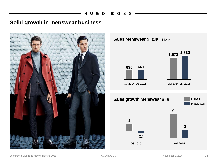#### **Solid growth in menswear business**



**Sales Menswear** (in EUR million)



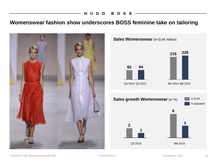#### HUGO BOSS-

## **Womenswear fashion show underscores BOSS feminine take on tailoring**



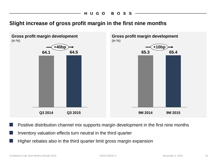### **Slight increase of gross profit margin in the first nine months**



Positive distribution channel mix supports margin development in the first nine months

- Inventory valuation effects turn neutral in the third quarter
- Higher rebates also in the third quarter limit gross margin expansion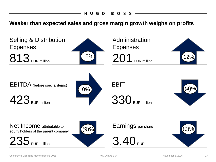HUGO BOSS

**Weaker than expected sales and gross margin growth weighs on profits**



Conference Call, Nine Months Results 2015 17<br>
17<br>
17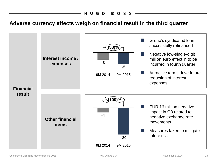### **Adverse currency effects weigh on financial result in the third quarter**

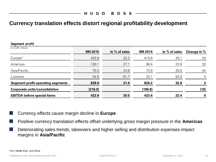### **Currency translation effects distort regional profitability development**

| Segment profit                           |         |                 |         |               |             |
|------------------------------------------|---------|-----------------|---------|---------------|-------------|
| in EUR million                           | 9M 2015 | In $%$ of sales | 9M 2014 | In % of sales | Change in % |
| Europe*                                  | 403.9   | 32.2            | 415.8   | 35.1          | (3)         |
| Americas                                 | 130.1   | 27.1            | 98.4    | 23.9          | 32          |
| Asia/Pacific                             | 70.3    | 24.8            | 72.9    | 28.9          | (4)         |
| Licenses                                 | 34.6    | 81.7            | 33.1    | 83.5          | 4           |
| <b>Segment profit operating segments</b> | 638.9   | 31.0            | 620.2   | 32.8          |             |
| <b>Corporate units/consolidation</b>     | (216.0) |                 | (196.8) |               | (10)        |
| <b>EBITDA before special items</b>       | 422.9   | 20.5            | 423.4   | 22.4          | $\mathbf 0$ |

**Currency effects cause margin decline in Europe** 

Positive currency translation effects offset underlying gross margin pressure in the **Americas** 

Deteriorating sales trends, takeovers and higher selling and distribution expenses impact margins in **Asia/Pacific**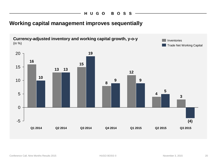### **Working capital management improves sequentially**

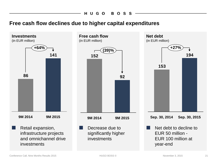#### **BOSS** HUGO

#### **Free cash flow declines due to higher capital expenditures**

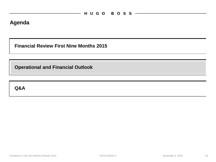#### **Agenda**

**Financial Review First Nine Months 2015**

**Operational and Financial Outlook**

**Q&A**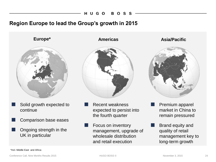#### **Region Europe to lead the Group's growth in 2015**



- Solid growth expected to continue
- Comparison base eases
- Ongoing strength in the UK in particular



- **Recent weakness** expected to persist into the fourth quarter
- Focus on inventory management, upgrade of wholesale distribution and retail execution

**Europe\* Americas Asia/Pacific**



- Premium apparel market in China to remain pressured
- Brand equity and quality of retail management key to long-term growth

\*Incl. Middle East and Africa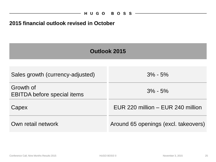#### **2015 financial outlook revised in October**

 $\overline{\phantom{0}}$ 

| Outlook 2015                                    |                                      |  |  |  |
|-------------------------------------------------|--------------------------------------|--|--|--|
|                                                 |                                      |  |  |  |
| Sales growth (currency-adjusted)                | $3\% - 5\%$                          |  |  |  |
| Growth of<br><b>EBITDA before special items</b> | $3\% - 5\%$                          |  |  |  |
| Capex                                           | EUR 220 million – EUR 240 million    |  |  |  |
| Own retail network                              | Around 65 openings (excl. takeovers) |  |  |  |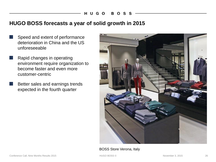#### **HUGO BOSS forecasts a year of solid growth in 2015**

- Speed and extent of performance deterioration in China and the US unforeseeable
	- Rapid changes in operating environment require organization to become faster and even more customer-centric
		- Better sales and earnings trends expected in the fourth quarter



#### BOSS Store Verona, Italy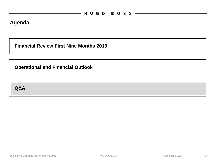#### **Agenda**

**Financial Review First Nine Months 2015**

**Operational and Financial Outlook**

**Q&A**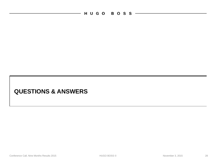HUGO BOSS ——————

 $\overline{\phantom{0}}$ 

### **QUESTIONS & ANSWERS**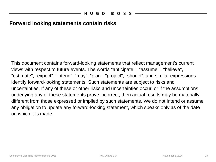#### **Forward looking statements contain risks**

This document contains forward-looking statements that reflect management's current views with respect to future events. The words "anticipate ", "assume ", "believe", "estimate", "expect", "intend", "may", "plan", "project", "should", and similar expressions identify forward-looking statements. Such statements are subject to risks and uncertainties. If any of these or other risks and uncertainties occur, or if the assumptions underlying any of these statements prove incorrect, then actual results may be materially different from those expressed or implied by such statements. We do not intend or assume any obligation to update any forward-looking statement, which speaks only as of the date on which it is made.